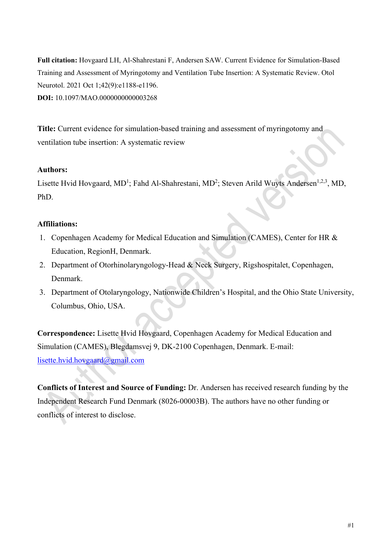**Full citation:** Hovgaard LH, Al-Shahrestani F, Andersen SAW. Current Evidence for Simulation-Based Training and Assessment of Myringotomy and Ventilation Tube Insertion: A Systematic Review. Otol Neurotol. 2021 Oct 1;42(9):e1188-e1196. **DOI:** 10.1097/MAO.0000000000003268

**Title:** Current evidence for simulation-based training and assessment of myringotomy and ventilation tube insertion: A systematic review

# **Authors:**

Lisette Hvid Hovgaard, MD<sup>1</sup>; Fahd Al-Shahrestani, MD<sup>2</sup>; Steven Arild Wuyts Andersen<sup>1,2,3</sup>, MD, PhD.

# **Affiliations:**

- 1. Copenhagen Academy for Medical Education and Simulation (CAMES), Center for HR & Education, RegionH, Denmark.
- 2. Department of Otorhinolaryngology-Head & Neck Surgery, Rigshospitalet, Copenhagen, Denmark.
- 3. Department of Otolaryngology, Nationwide Children's Hospital, and the Ohio State University, Columbus, Ohio, USA.

**Correspondence:** Lisette Hvid Hovgaard, Copenhagen Academy for Medical Education and Simulation (CAMES), Blegdamsvej 9, DK-2100 Copenhagen, Denmark. E-mail: [lisette.hvid.hovgaard@gmail.com](mailto:lisette.hvid.hovgaard@gmail.com) 

**Conflicts of Interest and Source of Funding:** Dr. Andersen has received research funding by the Independent Research Fund Denmark (8026-00003B). The authors have no other funding or conflicts of interest to disclose.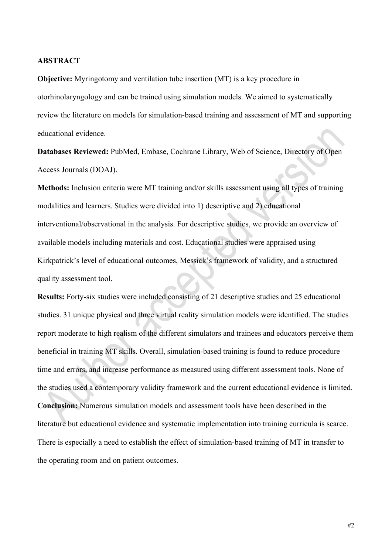#### **ABSTRACT**

**Objective:** Myringotomy and ventilation tube insertion (MT) is a key procedure in otorhinolaryngology and can be trained using simulation models. We aimed to systematically review the literature on models for simulation-based training and assessment of MT and supporting educational evidence.

**Databases Reviewed:** PubMed, Embase, Cochrane Library, Web of Science, Directory of Open Access Journals (DOAJ).

**Methods:** Inclusion criteria were MT training and/or skills assessment using all types of training modalities and learners. Studies were divided into 1) descriptive and 2) educational interventional/observational in the analysis. For descriptive studies, we provide an overview of available models including materials and cost. Educational studies were appraised using Kirkpatrick's level of educational outcomes, Messick's framework of validity, and a structured quality assessment tool.

**Results:** Forty-six studies were included consisting of 21 descriptive studies and 25 educational studies. 31 unique physical and three virtual reality simulation models were identified. The studies report moderate to high realism of the different simulators and trainees and educators perceive them beneficial in training MT skills. Overall, simulation-based training is found to reduce procedure time and errors, and increase performance as measured using different assessment tools. None of the studies used a contemporary validity framework and the current educational evidence is limited. **Conclusion:** Numerous simulation models and assessment tools have been described in the literature but educational evidence and systematic implementation into training curricula is scarce. There is especially a need to establish the effect of simulation-based training of MT in transfer to the operating room and on patient outcomes.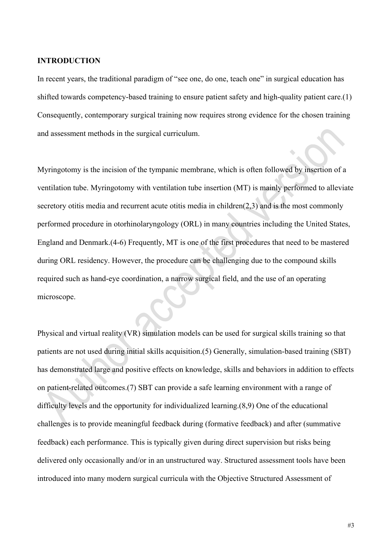#### **INTRODUCTION**

In recent years, the traditional paradigm of "see one, do one, teach one" in surgical education has shifted towards competency-based training to ensure patient safety and high-quality patient care.(1) Consequently, contemporary surgical training now requires strong evidence for the chosen training and assessment methods in the surgical curriculum.

Myringotomy is the incision of the tympanic membrane, which is often followed by insertion of a ventilation tube. Myringotomy with ventilation tube insertion (MT) is mainly performed to alleviate secretory otitis media and recurrent acute otitis media in children(2,3) and is the most commonly performed procedure in otorhinolaryngology (ORL) in many countries including the United States, England and Denmark.(4-6) Frequently, MT is one of the first procedures that need to be mastered during ORL residency. However, the procedure can be challenging due to the compound skills required such as hand-eye coordination, a narrow surgical field, and the use of an operating microscope.

Physical and virtual reality (VR) simulation models can be used for surgical skills training so that patients are not used during initial skills acquisition.(5) Generally, simulation-based training (SBT) has demonstrated large and positive effects on knowledge, skills and behaviors in addition to effects on patient-related outcomes.(7) SBT can provide a safe learning environment with a range of difficulty levels and the opportunity for individualized learning.(8,9) One of the educational challenges is to provide meaningful feedback during (formative feedback) and after (summative feedback) each performance. This is typically given during direct supervision but risks being delivered only occasionally and/or in an unstructured way. Structured assessment tools have been introduced into many modern surgical curricula with the Objective Structured Assessment of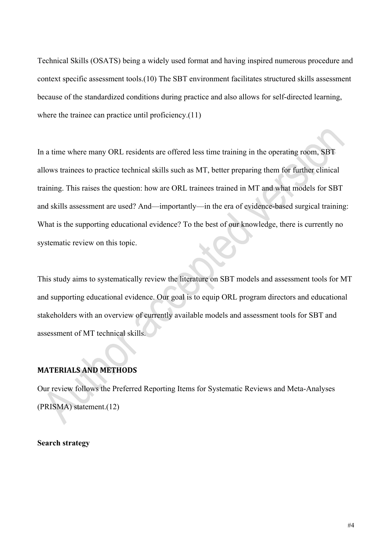Technical Skills (OSATS) being a widely used format and having inspired numerous procedure and context specific assessment tools.(10) The SBT environment facilitates structured skills assessment because of the standardized conditions during practice and also allows for self-directed learning, where the trainee can practice until proficiency.(11)

In a time where many ORL residents are offered less time training in the operating room, SBT allows trainees to practice technical skills such as MT, better preparing them for further clinical training. This raises the question: how are ORL trainees trained in MT and what models for SBT and skills assessment are used? And—importantly—in the era of evidence-based surgical training: What is the supporting educational evidence? To the best of our knowledge, there is currently no systematic review on this topic.

This study aims to systematically review the literature on SBT models and assessment tools for MT and supporting educational evidence. Our goal is to equip ORL program directors and educational stakeholders with an overview of currently available models and assessment tools for SBT and assessment of MT technical skills.

# **MATERIALS AND METHODS**

Our review follows the Preferred Reporting Items for Systematic Reviews and Meta-Analyses (PRISMA) statement.(12)

**Search strategy**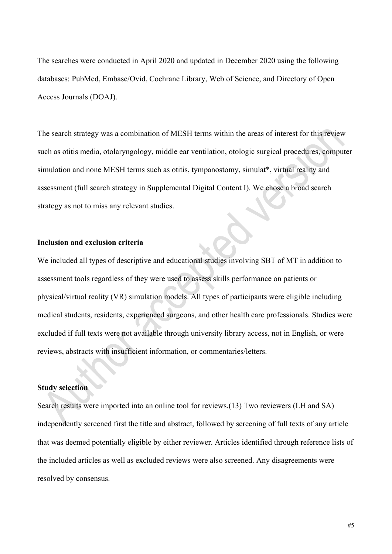The searches were conducted in April 2020 and updated in December 2020 using the following databases: PubMed, Embase/Ovid, Cochrane Library, Web of Science, and Directory of Open Access Journals (DOAJ).

The search strategy was a combination of MESH terms within the areas of interest for this review such as otitis media, otolaryngology, middle ear ventilation, otologic surgical procedures, computer simulation and none MESH terms such as otitis, tympanostomy, simulat\*, virtual reality and assessment (full search strategy in Supplemental Digital Content I). We chose a broad search strategy as not to miss any relevant studies.

## **Inclusion and exclusion criteria**

We included all types of descriptive and educational studies involving SBT of MT in addition to assessment tools regardless of they were used to assess skills performance on patients or physical/virtual reality (VR) simulation models. All types of participants were eligible including medical students, residents, experienced surgeons, and other health care professionals. Studies were excluded if full texts were not available through university library access, not in English, or were reviews, abstracts with insufficient information, or commentaries/letters.

#### **Study selection**

Search results were imported into an online tool for reviews.(13) Two reviewers (LH and SA) independently screened first the title and abstract, followed by screening of full texts of any article that was deemed potentially eligible by either reviewer. Articles identified through reference lists of the included articles as well as excluded reviews were also screened. Any disagreements were resolved by consensus.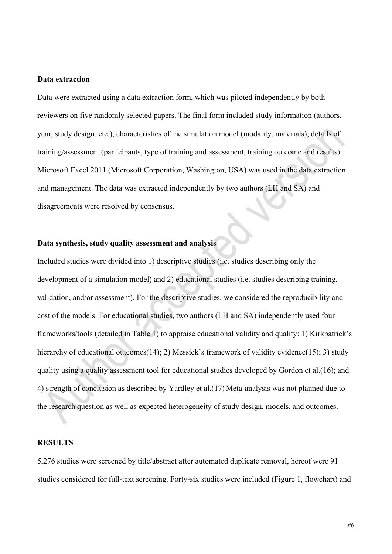#### **Data extraction**

Data were extracted using a data extraction form, which was piloted independently by both reviewers on five randomly selected papers. The final form included study information (authors, year, study design, etc.), characteristics of the simulation model (modality, materials), details of training/assessment (participants, type of training and assessment, training outcome and results). Microsoft Excel 2011 (Microsoft Corporation, Washington, USA) was used in the data extraction and management. The data was extracted independently by two authors (LH and SA) and disagreements were resolved by consensus.

## **Data synthesis, study quality assessment and analysis**

Included studies were divided into 1) descriptive studies (i.e. studies describing only the development of a simulation model) and 2) educational studies (i.e. studies describing training, validation, and/or assessment). For the descriptive studies, we considered the reproducibility and cost of the models. For educational studies, two authors (LH and SA) independently used four frameworks/tools (detailed in Table 1) to appraise educational validity and quality: 1) Kirkpatrick's hierarchy of educational outcomes(14); 2) Messick's framework of validity evidence(15); 3) study quality using a quality assessment tool for educational studies developed by Gordon et al.(16); and 4) strength of conclusion as described by Yardley et al.(17) Meta-analysis was not planned due to the research question as well as expected heterogeneity of study design, models, and outcomes.

## **RESULTS**

5,276 studies were screened by title/abstract after automated duplicate removal, hereof were 91 studies considered for full-text screening. Forty-six studies were included (Figure 1, flowchart) and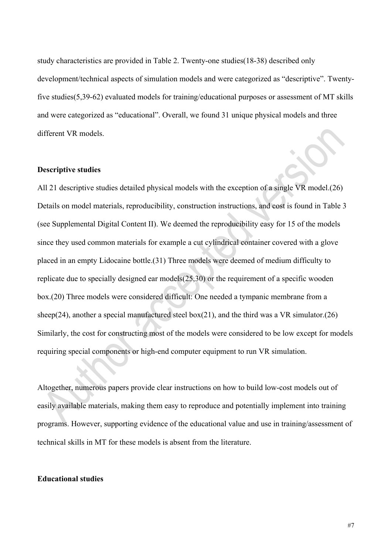study characteristics are provided in Table 2. Twenty-one studies(18-38) described only development/technical aspects of simulation models and were categorized as "descriptive". Twentyfive studies(5,39-62) evaluated models for training/educational purposes or assessment of MT skills and were categorized as "educational". Overall, we found 31 unique physical models and three different VR models.

#### **Descriptive studies**

All 21 descriptive studies detailed physical models with the exception of a single VR model.(26) Details on model materials, reproducibility, construction instructions, and cost is found in Table 3 (see Supplemental Digital Content II). We deemed the reproducibility easy for 15 of the models since they used common materials for example a cut cylindrical container covered with a glove placed in an empty Lidocaine bottle.(31) Three models were deemed of medium difficulty to replicate due to specially designed ear models(25,30) or the requirement of a specific wooden box.(20) Three models were considered difficult: One needed a tympanic membrane from a sheep(24), another a special manufactured steel box(21), and the third was a VR simulator.(26) Similarly, the cost for constructing most of the models were considered to be low except for models requiring special components or high-end computer equipment to run VR simulation.

Altogether, numerous papers provide clear instructions on how to build low-cost models out of easily available materials, making them easy to reproduce and potentially implement into training programs. However, supporting evidence of the educational value and use in training/assessment of technical skills in MT for these models is absent from the literature.

## **Educational studies**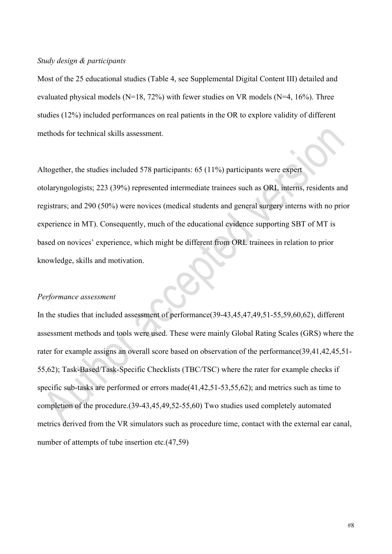### *Study design & participants*

Most of the 25 educational studies (Table 4, see Supplemental Digital Content III) detailed and evaluated physical models ( $N=18$ , 72%) with fewer studies on VR models ( $N=4$ , 16%). Three studies (12%) included performances on real patients in the OR to explore validity of different methods for technical skills assessment.

Altogether, the studies included 578 participants: 65 (11%) participants were expert otolaryngologists; 223 (39%) represented intermediate trainees such as ORL interns, residents and registrars; and 290 (50%) were novices (medical students and general surgery interns with no prior experience in MT). Consequently, much of the educational evidence supporting SBT of MT is based on novices' experience, which might be different from ORL trainees in relation to prior knowledge, skills and motivation.

#### *Performance assessment*

In the studies that included assessment of performance(39-43,45,47,49,51-55,59,60,62), different assessment methods and tools were used. These were mainly Global Rating Scales (GRS) where the rater for example assigns an overall score based on observation of the performance(39,41,42,45,51- 55,62); Task-Based/Task-Specific Checklists (TBC/TSC) where the rater for example checks if specific sub-tasks are performed or errors made(41,42,51-53,55,62); and metrics such as time to completion of the procedure.(39-43,45,49,52-55,60) Two studies used completely automated metrics derived from the VR simulators such as procedure time, contact with the external ear canal, number of attempts of tube insertion etc.(47,59)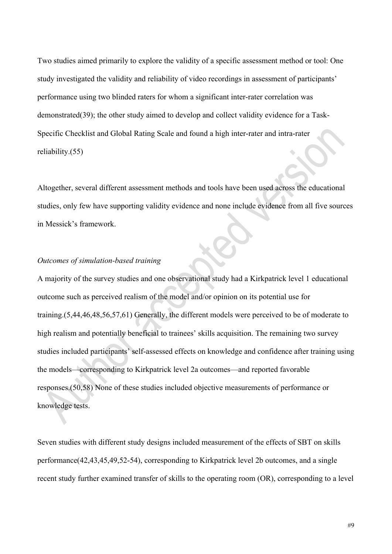Two studies aimed primarily to explore the validity of a specific assessment method or tool: One study investigated the validity and reliability of video recordings in assessment of participants' performance using two blinded raters for whom a significant inter-rater correlation was demonstrated(39); the other study aimed to develop and collect validity evidence for a Task-Specific Checklist and Global Rating Scale and found a high inter-rater and intra-rater reliability.(55)

Altogether, several different assessment methods and tools have been used across the educational studies, only few have supporting validity evidence and none include evidence from all five sources in Messick's framework.

#### *Outcomes of simulation-based training*

A majority of the survey studies and one observational study had a Kirkpatrick level 1 educational outcome such as perceived realism of the model and/or opinion on its potential use for training.(5,44,46,48,56,57,61) Generally, the different models were perceived to be of moderate to high realism and potentially beneficial to trainees' skills acquisition. The remaining two survey studies included participants' self-assessed effects on knowledge and confidence after training using the models—corresponding to Kirkpatrick level 2a outcomes—and reported favorable responses.(50,58) None of these studies included objective measurements of performance or knowledge tests.

Seven studies with different study designs included measurement of the effects of SBT on skills performance(42,43,45,49,52-54), corresponding to Kirkpatrick level 2b outcomes, and a single recent study further examined transfer of skills to the operating room (OR), corresponding to a level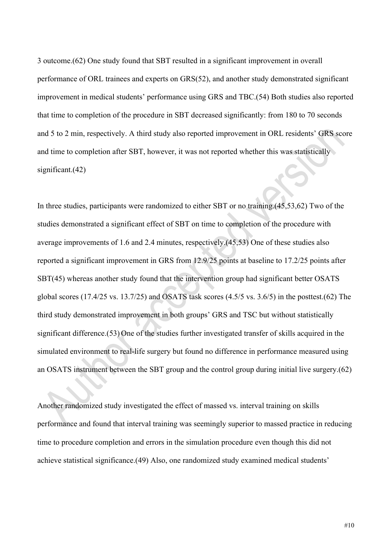3 outcome.(62) One study found that SBT resulted in a significant improvement in overall performance of ORL trainees and experts on GRS(52), and another study demonstrated significant improvement in medical students' performance using GRS and TBC.(54) Both studies also reported that time to completion of the procedure in SBT decreased significantly: from 180 to 70 seconds and 5 to 2 min, respectively. A third study also reported improvement in ORL residents' GRS score and time to completion after SBT, however, it was not reported whether this was statistically significant.(42)

In three studies, participants were randomized to either SBT or no training.(45,53,62) Two of the studies demonstrated a significant effect of SBT on time to completion of the procedure with average improvements of 1.6 and 2.4 minutes, respectively.(45,53) One of these studies also reported a significant improvement in GRS from 12.9/25 points at baseline to 17.2/25 points after SBT(45) whereas another study found that the intervention group had significant better OSATS global scores (17.4/25 vs. 13.7/25) and OSATS task scores (4.5/5 vs. 3.6/5) in the posttest.(62) The third study demonstrated improvement in both groups' GRS and TSC but without statistically significant difference.(53) One of the studies further investigated transfer of skills acquired in the simulated environment to real-life surgery but found no difference in performance measured using an OSATS instrument between the SBT group and the control group during initial live surgery.(62)

Another randomized study investigated the effect of massed vs. interval training on skills performance and found that interval training was seemingly superior to massed practice in reducing time to procedure completion and errors in the simulation procedure even though this did not achieve statistical significance.(49) Also, one randomized study examined medical students'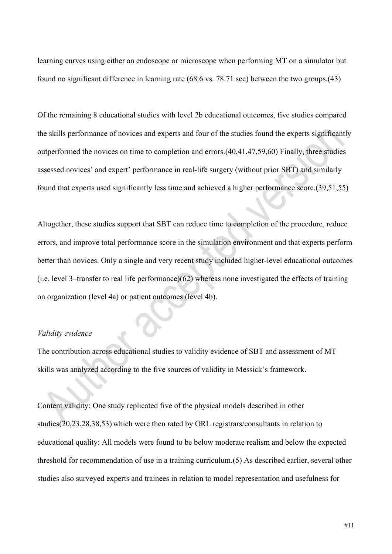learning curves using either an endoscope or microscope when performing MT on a simulator but found no significant difference in learning rate (68.6 vs. 78.71 sec) between the two groups.(43)

Of the remaining 8 educational studies with level 2b educational outcomes, five studies compared the skills performance of novices and experts and four of the studies found the experts significantly outperformed the novices on time to completion and errors.(40,41,47,59,60) Finally, three studies assessed novices' and expert' performance in real-life surgery (without prior SBT) and similarly found that experts used significantly less time and achieved a higher performance score.(39,51,55)

Altogether, these studies support that SBT can reduce time to completion of the procedure, reduce errors, and improve total performance score in the simulation environment and that experts perform better than novices. Only a single and very recent study included higher-level educational outcomes (i.e. level 3–transfer to real life performance)(62) whereas none investigated the effects of training on organization (level 4a) or patient outcomes (level 4b).

#### *Validity evidence*

The contribution across educational studies to validity evidence of SBT and assessment of MT skills was analyzed according to the five sources of validity in Messick's framework.

Content validity: One study replicated five of the physical models described in other studies(20,23,28,38,53) which were then rated by ORL registrars/consultants in relation to educational quality: All models were found to be below moderate realism and below the expected threshold for recommendation of use in a training curriculum.(5) As described earlier, several other studies also surveyed experts and trainees in relation to model representation and usefulness for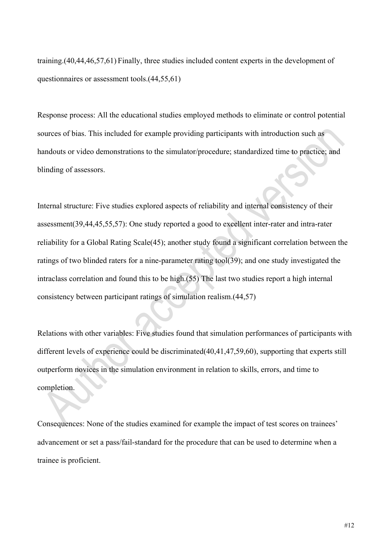training.(40,44,46,57,61) Finally, three studies included content experts in the development of questionnaires or assessment tools.(44,55,61)

Response process: All the educational studies employed methods to eliminate or control potential sources of bias. This included for example providing participants with introduction such as handouts or video demonstrations to the simulator/procedure; standardized time to practice; and blinding of assessors.

Internal structure: Five studies explored aspects of reliability and internal consistency of their assessment(39,44,45,55,57): One study reported a good to excellent inter-rater and intra-rater reliability for a Global Rating Scale(45); another study found a significant correlation between the ratings of two blinded raters for a nine-parameter rating tool(39); and one study investigated the intraclass correlation and found this to be high.(55) The last two studies report a high internal consistency between participant ratings of simulation realism.(44,57)

Relations with other variables: Five studies found that simulation performances of participants with different levels of experience could be discriminated(40,41,47,59,60), supporting that experts still outperform novices in the simulation environment in relation to skills, errors, and time to completion.

Consequences: None of the studies examined for example the impact of test scores on trainees' advancement or set a pass/fail-standard for the procedure that can be used to determine when a trainee is proficient.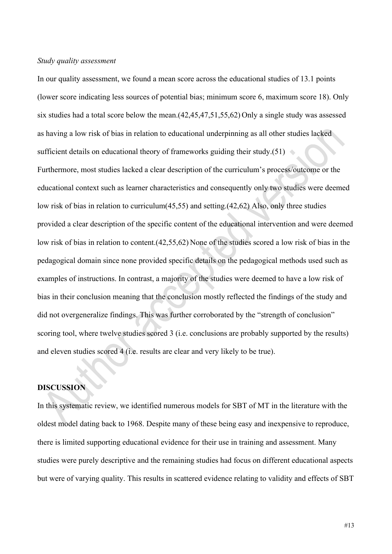### *Study quality assessment*

In our quality assessment, we found a mean score across the educational studies of 13.1 points (lower score indicating less sources of potential bias; minimum score 6, maximum score 18). Only six studies had a total score below the mean.(42,45,47,51,55,62) Only a single study was assessed as having a low risk of bias in relation to educational underpinning as all other studies lacked sufficient details on educational theory of frameworks guiding their study.(51)

Furthermore, most studies lacked a clear description of the curriculum's process/outcome or the educational context such as learner characteristics and consequently only two studies were deemed low risk of bias in relation to curriculum(45,55) and setting.(42,62) Also, only three studies provided a clear description of the specific content of the educational intervention and were deemed low risk of bias in relation to content.(42,55,62) None of the studies scored a low risk of bias in the pedagogical domain since none provided specific details on the pedagogical methods used such as examples of instructions. In contrast, a majority of the studies were deemed to have a low risk of bias in their conclusion meaning that the conclusion mostly reflected the findings of the study and did not overgeneralize findings. This was further corroborated by the "strength of conclusion" scoring tool, where twelve studies scored 3 (i.e. conclusions are probably supported by the results) and eleven studies scored 4 (i.e. results are clear and very likely to be true).

### **DISCUSSION**

In this systematic review, we identified numerous models for SBT of MT in the literature with the oldest model dating back to 1968. Despite many of these being easy and inexpensive to reproduce, there is limited supporting educational evidence for their use in training and assessment. Many studies were purely descriptive and the remaining studies had focus on different educational aspects but were of varying quality. This results in scattered evidence relating to validity and effects of SBT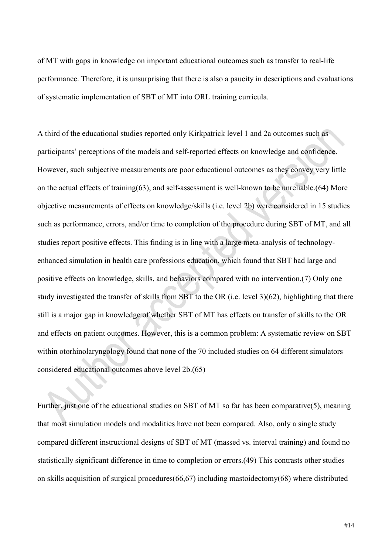of MT with gaps in knowledge on important educational outcomes such as transfer to real-life performance. Therefore, it is unsurprising that there is also a paucity in descriptions and evaluations of systematic implementation of SBT of MT into ORL training curricula.

A third of the educational studies reported only Kirkpatrick level 1 and 2a outcomes such as participants' perceptions of the models and self-reported effects on knowledge and confidence. However, such subjective measurements are poor educational outcomes as they convey very little on the actual effects of training(63), and self-assessment is well-known to be unreliable.(64) More objective measurements of effects on knowledge/skills (i.e. level 2b) were considered in 15 studies such as performance, errors, and/or time to completion of the procedure during SBT of MT, and all studies report positive effects. This finding is in line with a large meta-analysis of technologyenhanced simulation in health care professions education, which found that SBT had large and positive effects on knowledge, skills, and behaviors compared with no intervention.(7) Only one study investigated the transfer of skills from SBT to the OR (i.e. level 3)(62), highlighting that there still is a major gap in knowledge of whether SBT of MT has effects on transfer of skills to the OR and effects on patient outcomes. However, this is a common problem: A systematic review on SBT within otorhinolaryngology found that none of the 70 included studies on 64 different simulators considered educational outcomes above level 2b.(65)

Further, just one of the educational studies on SBT of MT so far has been comparative(5), meaning that most simulation models and modalities have not been compared. Also, only a single study compared different instructional designs of SBT of MT (massed vs. interval training) and found no statistically significant difference in time to completion or errors.(49) This contrasts other studies on skills acquisition of surgical procedures(66,67) including mastoidectomy(68) where distributed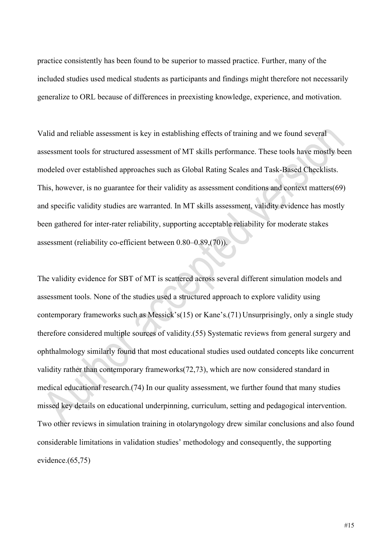practice consistently has been found to be superior to massed practice. Further, many of the included studies used medical students as participants and findings might therefore not necessarily generalize to ORL because of differences in preexisting knowledge, experience, and motivation.

Valid and reliable assessment is key in establishing effects of training and we found several assessment tools for structured assessment of MT skills performance. These tools have mostly been modeled over established approaches such as Global Rating Scales and Task-Based Checklists. This, however, is no guarantee for their validity as assessment conditions and context matters(69) and specific validity studies are warranted. In MT skills assessment, validity evidence has mostly been gathered for inter-rater reliability, supporting acceptable reliability for moderate stakes assessment (reliability co-efficient between 0.80–0.89,(70)).

The validity evidence for SBT of MT is scattered across several different simulation models and assessment tools. None of the studies used a structured approach to explore validity using contemporary frameworks such as Messick's(15) or Kane's.(71) Unsurprisingly, only a single study therefore considered multiple sources of validity.(55) Systematic reviews from general surgery and ophthalmology similarly found that most educational studies used outdated concepts like concurrent validity rather than contemporary frameworks(72,73), which are now considered standard in medical educational research.(74) In our quality assessment, we further found that many studies missed key details on educational underpinning, curriculum, setting and pedagogical intervention. Two other reviews in simulation training in otolaryngology drew similar conclusions and also found considerable limitations in validation studies' methodology and consequently, the supporting evidence.(65,75)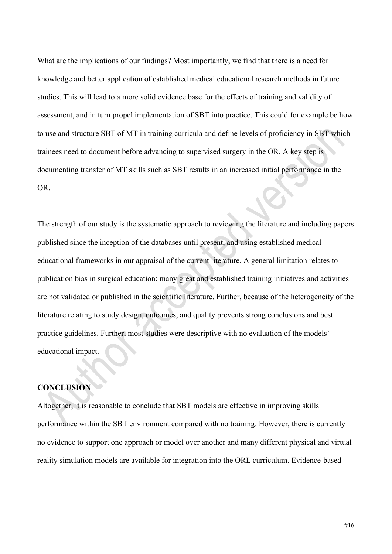What are the implications of our findings? Most importantly, we find that there is a need for knowledge and better application of established medical educational research methods in future studies. This will lead to a more solid evidence base for the effects of training and validity of assessment, and in turn propel implementation of SBT into practice. This could for example be how to use and structure SBT of MT in training curricula and define levels of proficiency in SBT which trainees need to document before advancing to supervised surgery in the OR. A key step is documenting transfer of MT skills such as SBT results in an increased initial performance in the OR.

The strength of our study is the systematic approach to reviewing the literature and including papers published since the inception of the databases until present, and using established medical educational frameworks in our appraisal of the current literature. A general limitation relates to publication bias in surgical education: many great and established training initiatives and activities are not validated or published in the scientific literature. Further, because of the heterogeneity of the literature relating to study design, outcomes, and quality prevents strong conclusions and best practice guidelines. Further, most studies were descriptive with no evaluation of the models' educational impact.

## **CONCLUSION**

Altogether, it is reasonable to conclude that SBT models are effective in improving skills performance within the SBT environment compared with no training. However, there is currently no evidence to support one approach or model over another and many different physical and virtual reality simulation models are available for integration into the ORL curriculum. Evidence-based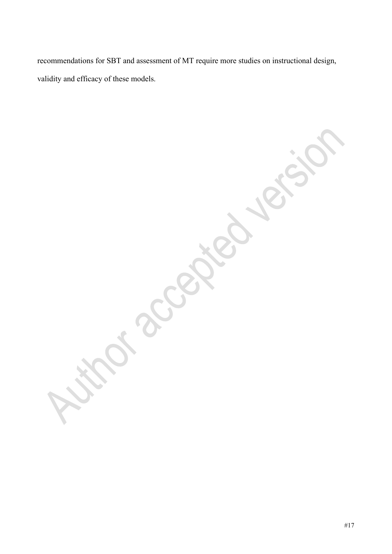recommendations for SBT and assessment of MT require more studies on instructional design, validity and efficacy of these models.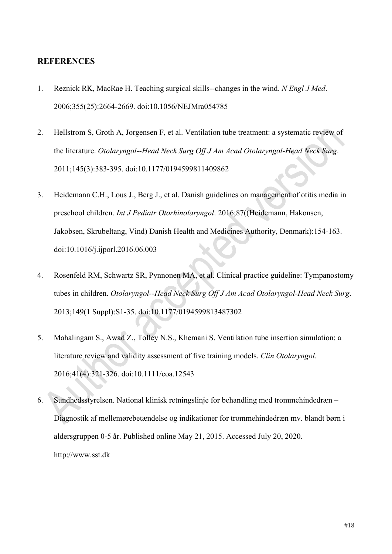## **REFERENCES**

- 1. Reznick RK, MacRae H. Teaching surgical skills--changes in the wind. *N Engl J Med*. 2006;355(25):2664-2669. doi:10.1056/NEJMra054785
- 2. Hellstrom S, Groth A, Jorgensen F, et al. Ventilation tube treatment: a systematic review of the literature. *Otolaryngol--Head Neck Surg Off J Am Acad Otolaryngol-Head Neck Surg*. 2011;145(3):383-395. doi:10.1177/0194599811409862
- 3. Heidemann C.H., Lous J., Berg J., et al. Danish guidelines on management of otitis media in preschool children. *Int J Pediatr Otorhinolaryngol*. 2016;87((Heidemann, Hakonsen, Jakobsen, Skrubeltang, Vind) Danish Health and Medicines Authority, Denmark):154-163. doi:10.1016/j.ijporl.2016.06.003
- 4. Rosenfeld RM, Schwartz SR, Pynnonen MA, et al. Clinical practice guideline: Tympanostomy tubes in children. *Otolaryngol--Head Neck Surg Off J Am Acad Otolaryngol-Head Neck Surg*. 2013;149(1 Suppl):S1-35. doi:10.1177/0194599813487302
- 5. Mahalingam S., Awad Z., Tolley N.S., Khemani S. Ventilation tube insertion simulation: a literature review and validity assessment of five training models. *Clin Otolaryngol*. 2016;41(4):321-326. doi:10.1111/coa.12543
- 6. Sundhedsstyrelsen. National klinisk retningslinje for behandling med trommehindedræn Diagnostik af mellemørebetændelse og indikationer for trommehindedræn mv. blandt børn i aldersgruppen 0-5 år. Published online May 21, 2015. Accessed July 20, 2020. http://www.sst.dk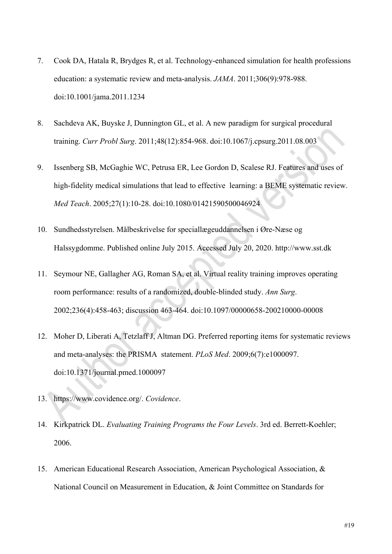- 7. Cook DA, Hatala R, Brydges R, et al. Technology-enhanced simulation for health professions education: a systematic review and meta-analysis. *JAMA*. 2011;306(9):978-988. doi:10.1001/jama.2011.1234
- 8. Sachdeva AK, Buyske J, Dunnington GL, et al. A new paradigm for surgical procedural training. *Curr Probl Surg*. 2011;48(12):854-968. doi:10.1067/j.cpsurg.2011.08.003
- 9. Issenberg SB, McGaghie WC, Petrusa ER, Lee Gordon D, Scalese RJ. Features and uses of high-fidelity medical simulations that lead to effective learning: a BEME systematic review. *Med Teach*. 2005;27(1):10-28. doi:10.1080/01421590500046924
- 10. Sundhedsstyrelsen. Målbeskrivelse for speciallægeuddannelsen i Øre-Næse og Halssygdomme. Published online July 2015. Accessed July 20, 2020. http://www.sst.dk
- 11. Seymour NE, Gallagher AG, Roman SA, et al. Virtual reality training improves operating room performance: results of a randomized, double-blinded study. *Ann Surg*. 2002;236(4):458-463; discussion 463-464. doi:10.1097/00000658-200210000-00008
- 12. Moher D, Liberati A, Tetzlaff J, Altman DG. Preferred reporting items for systematic reviews and meta-analyses: the PRISMA statement. *PLoS Med*. 2009;6(7):e1000097. doi:10.1371/journal.pmed.1000097
- 13. https://www.covidence.org/. *Covidence*.
- 14. Kirkpatrick DL. *Evaluating Training Programs the Four Levels*. 3rd ed. Berrett-Koehler; 2006.
- 15. American Educational Research Association, American Psychological Association, & National Council on Measurement in Education, & Joint Committee on Standards for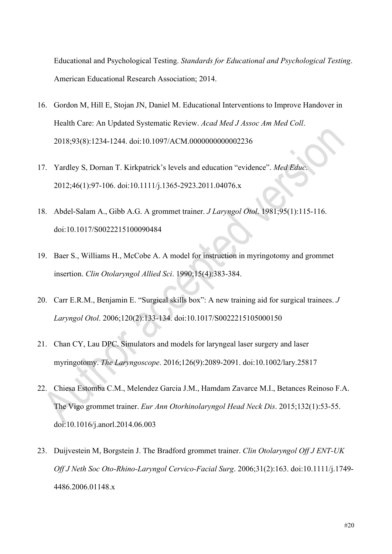Educational and Psychological Testing. *Standards for Educational and Psychological Testing*. American Educational Research Association; 2014.

- 16. Gordon M, Hill E, Stojan JN, Daniel M. Educational Interventions to Improve Handover in Health Care: An Updated Systematic Review. *Acad Med J Assoc Am Med Coll*. 2018;93(8):1234-1244. doi:10.1097/ACM.0000000000002236
- 17. Yardley S, Dornan T. Kirkpatrick's levels and education "evidence". *Med Educ*. 2012;46(1):97-106. doi:10.1111/j.1365-2923.2011.04076.x
- 18. Abdel-Salam A., Gibb A.G. A grommet trainer. *J Laryngol Otol*. 1981;95(1):115-116. doi:10.1017/S0022215100090484
- 19. Baer S., Williams H., McCobe A. A model for instruction in myringotomy and grommet insertion. *Clin Otolaryngol Allied Sci*. 1990;15(4):383-384.
- 20. Carr E.R.M., Benjamin E. "Surgical skills box": A new training aid for surgical trainees. *J Laryngol Otol*. 2006;120(2):133-134. doi:10.1017/S0022215105000150
- 21. Chan CY, Lau DPC. Simulators and models for laryngeal laser surgery and laser myringotomy. *The Laryngoscope*. 2016;126(9):2089-2091. doi:10.1002/lary.25817
- 22. Chiesa Estomba C.M., Melendez Garcia J.M., Hamdam Zavarce M.I., Betances Reinoso F.A. The Vigo grommet trainer. *Eur Ann Otorhinolaryngol Head Neck Dis*. 2015;132(1):53-55. doi:10.1016/j.anorl.2014.06.003
- 23. Duijvestein M, Borgstein J. The Bradford grommet trainer. *Clin Otolaryngol Off J ENT-UK Off J Neth Soc Oto-Rhino-Laryngol Cervico-Facial Surg*. 2006;31(2):163. doi:10.1111/j.1749- 4486.2006.01148.x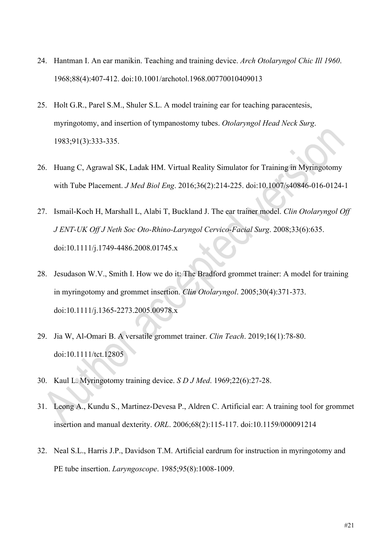- 24. Hantman I. An ear manikin. Teaching and training device. *Arch Otolaryngol Chic Ill 1960*. 1968;88(4):407-412. doi:10.1001/archotol.1968.00770010409013
- 25. Holt G.R., Parel S.M., Shuler S.L. A model training ear for teaching paracentesis, myringotomy, and insertion of tympanostomy tubes. *Otolaryngol Head Neck Surg*. 1983;91(3):333-335.
- 26. Huang C, Agrawal SK, Ladak HM. Virtual Reality Simulator for Training in Myringotomy with Tube Placement. *J Med Biol Eng*. 2016;36(2):214-225. doi:10.1007/s40846-016-0124-1
- 27. Ismail-Koch H, Marshall L, Alabi T, Buckland J. The ear trainer model. *Clin Otolaryngol Off J ENT-UK Off J Neth Soc Oto-Rhino-Laryngol Cervico-Facial Surg*. 2008;33(6):635. doi:10.1111/j.1749-4486.2008.01745.x
- 28. Jesudason W.V., Smith I. How we do it: The Bradford grommet trainer: A model for training in myringotomy and grommet insertion. *Clin Otolaryngol*. 2005;30(4):371-373. doi:10.1111/j.1365-2273.2005.00978.x
- 29. Jia W, Al-Omari B. A versatile grommet trainer. *Clin Teach*. 2019;16(1):78-80. doi:10.1111/tct.12805
- 30. Kaul L. Myringotomy training device. *S D J Med*. 1969;22(6):27-28.
- 31. Leong A., Kundu S., Martinez-Devesa P., Aldren C. Artificial ear: A training tool for grommet insertion and manual dexterity. *ORL*. 2006;68(2):115-117. doi:10.1159/000091214
- 32. Neal S.L., Harris J.P., Davidson T.M. Artificial eardrum for instruction in myringotomy and PE tube insertion. *Laryngoscope*. 1985;95(8):1008-1009.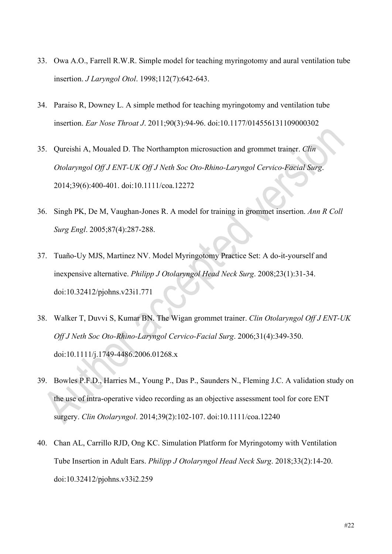- 33. Owa A.O., Farrell R.W.R. Simple model for teaching myringotomy and aural ventilation tube insertion. *J Laryngol Otol*. 1998;112(7):642-643.
- 34. Paraiso R, Downey L. A simple method for teaching myringotomy and ventilation tube insertion. *Ear Nose Throat J*. 2011;90(3):94-96. doi:10.1177/014556131109000302
- 35. Qureishi A, Moualed D. The Northampton microsuction and grommet trainer. *Clin Otolaryngol Off J ENT-UK Off J Neth Soc Oto-Rhino-Laryngol Cervico-Facial Surg*. 2014;39(6):400-401. doi:10.1111/coa.12272
- 36. Singh PK, De M, Vaughan-Jones R. A model for training in grommet insertion. *Ann R Coll Surg Engl*. 2005;87(4):287-288.
- 37. Tuaño-Uy MJS, Martinez NV. Model Myringotomy Practice Set: A do-it-yourself and inexpensive alternative. *Philipp J Otolaryngol Head Neck Surg*. 2008;23(1):31-34. doi:10.32412/pjohns.v23i1.771
- 38. Walker T, Duvvi S, Kumar BN. The Wigan grommet trainer. *Clin Otolaryngol Off J ENT-UK Off J Neth Soc Oto-Rhino-Laryngol Cervico-Facial Surg*. 2006;31(4):349-350. doi:10.1111/j.1749-4486.2006.01268.x
- 39. Bowles P.F.D., Harries M., Young P., Das P., Saunders N., Fleming J.C. A validation study on the use of intra-operative video recording as an objective assessment tool for core ENT surgery. *Clin Otolaryngol*. 2014;39(2):102-107. doi:10.1111/coa.12240
- 40. Chan AL, Carrillo RJD, Ong KC. Simulation Platform for Myringotomy with Ventilation Tube Insertion in Adult Ears. *Philipp J Otolaryngol Head Neck Surg*. 2018;33(2):14-20. doi:10.32412/pjohns.v33i2.259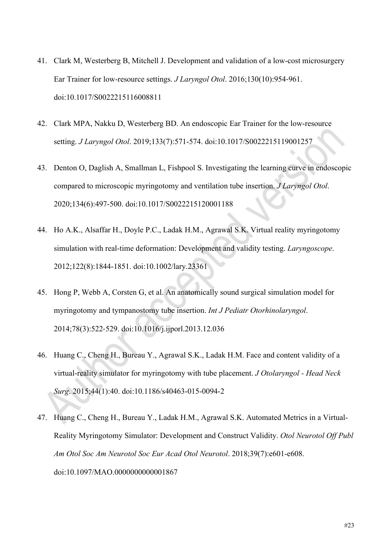- 41. Clark M, Westerberg B, Mitchell J. Development and validation of a low-cost microsurgery Ear Trainer for low-resource settings. *J Laryngol Otol*. 2016;130(10):954‐961. doi:10.1017/S0022215116008811
- 42. Clark MPA, Nakku D, Westerberg BD. An endoscopic Ear Trainer for the low-resource setting. *J Laryngol Otol*. 2019;133(7):571-574. doi:10.1017/S0022215119001257
- 43. Denton O, Daglish A, Smallman L, Fishpool S. Investigating the learning curve in endoscopic compared to microscopic myringotomy and ventilation tube insertion. *J Laryngol Otol*. 2020;134(6):497-500. doi:10.1017/S0022215120001188
- 44. Ho A.K., Alsaffar H., Doyle P.C., Ladak H.M., Agrawal S.K. Virtual reality myringotomy simulation with real-time deformation: Development and validity testing. *Laryngoscope*. 2012;122(8):1844-1851. doi:10.1002/lary.23361
- 45. Hong P, Webb A, Corsten G, et al. An anatomically sound surgical simulation model for myringotomy and tympanostomy tube insertion. *Int J Pediatr Otorhinolaryngol*. 2014;78(3):522‐529. doi:10.1016/j.ijporl.2013.12.036
- 46. Huang C., Cheng H., Bureau Y., Agrawal S.K., Ladak H.M. Face and content validity of a virtual-reality simulator for myringotomy with tube placement. *J Otolaryngol - Head Neck Surg*. 2015;44(1):40. doi:10.1186/s40463-015-0094-2
- 47. Huang C., Cheng H., Bureau Y., Ladak H.M., Agrawal S.K. Automated Metrics in a Virtual-Reality Myringotomy Simulator: Development and Construct Validity. *Otol Neurotol Off Publ Am Otol Soc Am Neurotol Soc Eur Acad Otol Neurotol*. 2018;39(7):e601-e608. doi:10.1097/MAO.0000000000001867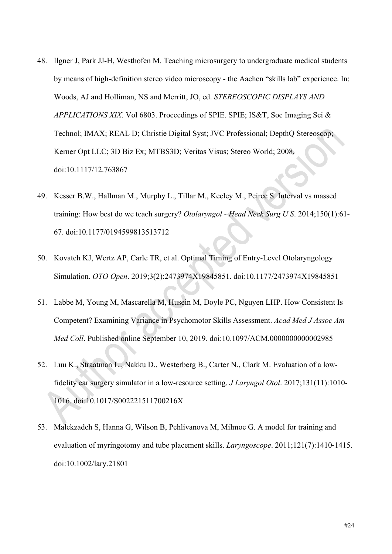- 48. Ilgner J, Park JJ-H, Westhofen M. Teaching microsurgery to undergraduate medical students by means of high-definition stereo video microscopy - the Aachen "skills lab" experience. In: Woods, AJ and Holliman, NS and Merritt, JO, ed. *STEREOSCOPIC DISPLAYS AND APPLICATIONS XIX*. Vol 6803. Proceedings of SPIE. SPIE; IS&T, Soc Imaging Sci & Technol; IMAX; REAL D; Christie Digital Syst; JVC Professional; DepthQ Stereoscop; Kerner Opt LLC; 3D Biz Ex; MTBS3D; Veritas Visus; Stereo World; 2008. doi:10.1117/12.763867
- 49. Kesser B.W., Hallman M., Murphy L., Tillar M., Keeley M., Peirce S. Interval vs massed training: How best do we teach surgery? *Otolaryngol - Head Neck Surg U S*. 2014;150(1):61- 67. doi:10.1177/0194599813513712
- 50. Kovatch KJ, Wertz AP, Carle TR, et al. Optimal Timing of Entry-Level Otolaryngology Simulation. *OTO Open*. 2019;3(2):2473974X19845851. doi:10.1177/2473974X19845851
- 51. Labbe M, Young M, Mascarella M, Husein M, Doyle PC, Nguyen LHP. How Consistent Is Competent? Examining Variance in Psychomotor Skills Assessment. *Acad Med J Assoc Am Med Coll*. Published online September 10, 2019. doi:10.1097/ACM.0000000000002985
- 52. Luu K., Straatman L., Nakku D., Westerberg B., Carter N., Clark M. Evaluation of a lowfidelity ear surgery simulator in a low-resource setting. *J Laryngol Otol*. 2017;131(11):1010- 1016. doi:10.1017/S002221511700216X
- 53. Malekzadeh S, Hanna G, Wilson B, Pehlivanova M, Milmoe G. A model for training and evaluation of myringotomy and tube placement skills. *Laryngoscope*. 2011;121(7):1410‐1415. doi:10.1002/lary.21801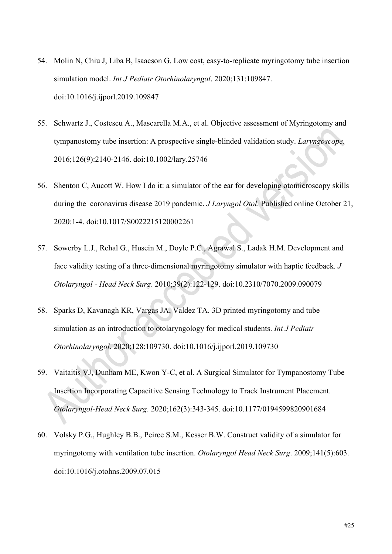- 54. Molin N, Chiu J, Liba B, Isaacson G. Low cost, easy-to-replicate myringotomy tube insertion simulation model. *Int J Pediatr Otorhinolaryngol*. 2020;131:109847. doi:10.1016/j.ijporl.2019.109847
- 55. Schwartz J., Costescu A., Mascarella M.A., et al. Objective assessment of Myringotomy and tympanostomy tube insertion: A prospective single-blinded validation study. *Laryngoscope*. 2016;126(9):2140-2146. doi:10.1002/lary.25746
- 56. Shenton C, Aucott W. How I do it: a simulator of the ear for developing otomicroscopy skills during the coronavirus disease 2019 pandemic. *J Laryngol Otol*. Published online October 21, 2020:1-4. doi:10.1017/S0022215120002261
- 57. Sowerby L.J., Rehal G., Husein M., Doyle P.C., Agrawal S., Ladak H.M. Development and face validity testing of a three-dimensional myringotomy simulator with haptic feedback. *J Otolaryngol - Head Neck Surg*. 2010;39(2):122-129. doi:10.2310/7070.2009.090079
- 58. Sparks D, Kavanagh KR, Vargas JA, Valdez TA. 3D printed myringotomy and tube simulation as an introduction to otolaryngology for medical students. *Int J Pediatr Otorhinolaryngol*. 2020;128:109730. doi:10.1016/j.ijporl.2019.109730
- 59. Vaitaitis VJ, Dunham ME, Kwon Y-C, et al. A Surgical Simulator for Tympanostomy Tube Insertion Incorporating Capacitive Sensing Technology to Track Instrument Placement. *Otolaryngol-Head Neck Surg*. 2020;162(3):343-345. doi:10.1177/0194599820901684
- 60. Volsky P.G., Hughley B.B., Peirce S.M., Kesser B.W. Construct validity of a simulator for myringotomy with ventilation tube insertion. *Otolaryngol Head Neck Surg*. 2009;141(5):603. doi:10.1016/j.otohns.2009.07.015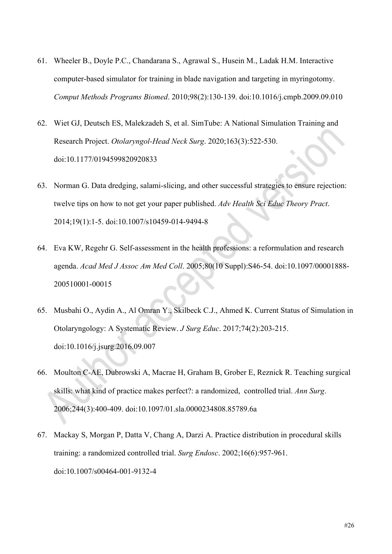- 61. Wheeler B., Doyle P.C., Chandarana S., Agrawal S., Husein M., Ladak H.M. Interactive computer-based simulator for training in blade navigation and targeting in myringotomy. *Comput Methods Programs Biomed*. 2010;98(2):130-139. doi:10.1016/j.cmpb.2009.09.010
- 62. Wiet GJ, Deutsch ES, Malekzadeh S, et al. SimTube: A National Simulation Training and Research Project. *Otolaryngol-Head Neck Surg*. 2020;163(3):522-530. doi:10.1177/0194599820920833
- 63. Norman G. Data dredging, salami-slicing, and other successful strategies to ensure rejection: twelve tips on how to not get your paper published. *Adv Health Sci Educ Theory Pract*. 2014;19(1):1-5. doi:10.1007/s10459-014-9494-8
- 64. Eva KW, Regehr G. Self-assessment in the health professions: a reformulation and research agenda. *Acad Med J Assoc Am Med Coll*. 2005;80(10 Suppl):S46-54. doi:10.1097/00001888- 200510001-00015
- 65. Musbahi O., Aydin A., Al Omran Y., Skilbeck C.J., Ahmed K. Current Status of Simulation in Otolaryngology: A Systematic Review. *J Surg Educ*. 2017;74(2):203-215. doi:10.1016/j.jsurg.2016.09.007
- 66. Moulton C-AE, Dubrowski A, Macrae H, Graham B, Grober E, Reznick R. Teaching surgical skills: what kind of practice makes perfect?: a randomized, controlled trial. *Ann Surg*. 2006;244(3):400-409. doi:10.1097/01.sla.0000234808.85789.6a
- 67. Mackay S, Morgan P, Datta V, Chang A, Darzi A. Practice distribution in procedural skills training: a randomized controlled trial. *Surg Endosc*. 2002;16(6):957-961. doi:10.1007/s00464-001-9132-4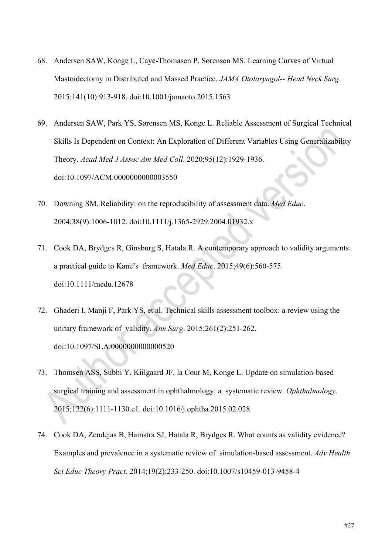- 68. Andersen SAW, Konge L, Cayé-Thomasen P, Sørensen MS. Learning Curves of Virtual Mastoidectomy in Distributed and Massed Practice. *JAMA Otolaryngol-- Head Neck Surg*. 2015;141(10):913-918. doi:10.1001/jamaoto.2015.1563
- 69. Andersen SAW, Park YS, Sørensen MS, Konge L. Reliable Assessment of Surgical Technical Skills Is Dependent on Context: An Exploration of Different Variables Using Generalizability Theory. *Acad Med J Assoc Am Med Coll*. 2020;95(12):1929-1936. doi:10.1097/ACM.0000000000003550
- 70. Downing SM. Reliability: on the reproducibility of assessment data. *Med Educ*. 2004;38(9):1006-1012. doi:10.1111/j.1365-2929.2004.01932.x
- 71. Cook DA, Brydges R, Ginsburg S, Hatala R. A contemporary approach to validity arguments: a practical guide to Kane's framework. *Med Educ*. 2015;49(6):560-575. doi:10.1111/medu.12678
- 72. Ghaderi I, Manji F, Park YS, et al. Technical skills assessment toolbox: a review using the unitary framework of validity. *Ann Surg*. 2015;261(2):251-262. doi:10.1097/SLA.0000000000000520
- 73. Thomsen ASS, Subhi Y, Kiilgaard JF, la Cour M, Konge L. Update on simulation-based surgical training and assessment in ophthalmology: a systematic review. *Ophthalmology*. 2015;122(6):1111-1130.e1. doi:10.1016/j.ophtha.2015.02.028
- 74. Cook DA, Zendejas B, Hamstra SJ, Hatala R, Brydges R. What counts as validity evidence? Examples and prevalence in a systematic review of simulation-based assessment. *Adv Health Sci Educ Theory Pract*. 2014;19(2):233-250. doi:10.1007/s10459-013-9458-4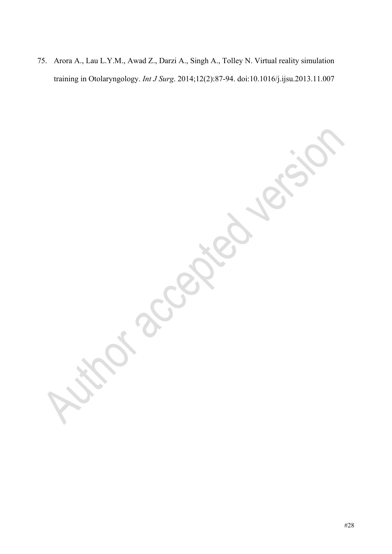75. Arora A., Lau L.Y.M., Awad Z., Darzi A., Singh A., Tolley N. Virtual reality simulation training in Otolaryngology. *Int J Surg*. 2014;12(2):87-94. doi:10.1016/j.ijsu.2013.11.007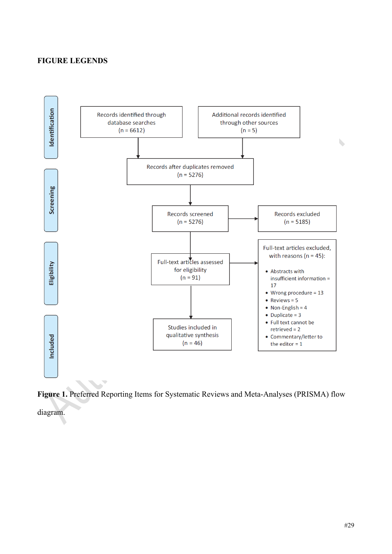# **FIGURE LEGENDS**



**Figure 1.** Preferred Reporting Items for Systematic Reviews and Meta-Analyses (PRISMA) flow

diagram.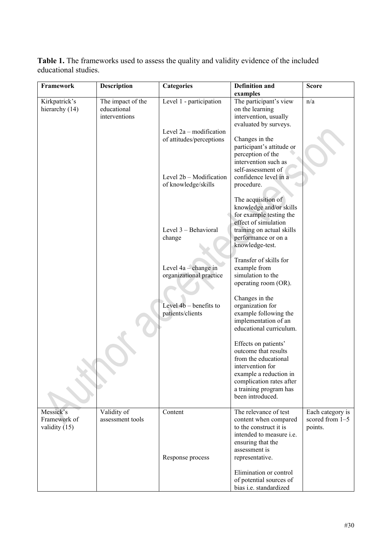**Table 1.** The frameworks used to assess the quality and validity evidence of the included educational studies.

| Framework                                    | <b>Description</b>                                | <b>Categories</b>                                     | <b>Definition and</b>                                                                                                                                                                        | <b>Score</b>                                   |
|----------------------------------------------|---------------------------------------------------|-------------------------------------------------------|----------------------------------------------------------------------------------------------------------------------------------------------------------------------------------------------|------------------------------------------------|
|                                              |                                                   |                                                       | examples                                                                                                                                                                                     |                                                |
| Kirkpatrick's<br>hierarchy (14)              | The impact of the<br>educational<br>interventions | Level 1 - participation                               | The participant's view<br>on the learning<br>intervention, usually<br>evaluated by surveys.                                                                                                  | n/a                                            |
|                                              |                                                   | Level $2a$ – modification<br>of attitudes/perceptions | Changes in the<br>participant's attitude or<br>perception of the                                                                                                                             |                                                |
|                                              |                                                   | Level 2b - Modification<br>of knowledge/skills        | intervention such as<br>self-assessment of<br>confidence level in a<br>procedure.                                                                                                            |                                                |
|                                              |                                                   | Level 3 - Behavioral<br>change                        | The acquisition of<br>knowledge and/or skills<br>for example testing the<br>effect of simulation<br>training on actual skills<br>performance or on a<br>knowledge-test.                      |                                                |
|                                              |                                                   | Level 4a - change in<br>organizational practice       | Transfer of skills for<br>example from<br>simulation to the<br>operating room (OR).                                                                                                          |                                                |
|                                              |                                                   | Level $4b$ – benefits to<br>patients/clients          | Changes in the<br>organization for<br>example following the<br>implementation of an<br>educational curriculum.                                                                               |                                                |
|                                              |                                                   |                                                       | Effects on patients'<br>outcome that results<br>from the educational<br>intervention for<br>example a reduction in<br>complication rates after<br>a training program has<br>been introduced. |                                                |
| Messick's<br>Framework of<br>validity $(15)$ | Validity of<br>assessment tools                   | Content                                               | The relevance of test<br>content when compared<br>to the construct it is<br>intended to measure i.e.<br>ensuring that the<br>assessment is<br>representative.                                | Each category is<br>scored from 1-5<br>points. |
|                                              |                                                   | Response process                                      | Elimination or control<br>of potential sources of<br>bias i.e. standardized                                                                                                                  |                                                |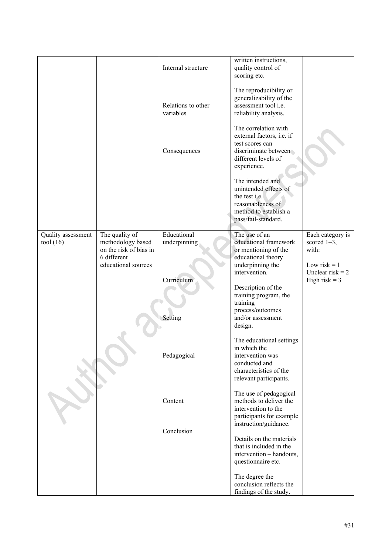|                    |                                             | Internal structure              | written instructions,<br>quality control of<br>scoring etc.                                                                        |                                       |
|--------------------|---------------------------------------------|---------------------------------|------------------------------------------------------------------------------------------------------------------------------------|---------------------------------------|
|                    |                                             | Relations to other<br>variables | The reproducibility or<br>generalizability of the<br>assessment tool i.e.<br>reliability analysis.                                 |                                       |
|                    |                                             | Consequences                    | The correlation with<br>external factors, i.e. if<br>test scores can<br>discriminate between<br>different levels of<br>experience. |                                       |
|                    |                                             |                                 | The intended and<br>unintended effects of<br>the test i.e.<br>reasonableness of<br>method to establish a<br>pass/fail-standard.    |                                       |
| Quality assessment | The quality of                              | Educational                     | The use of an                                                                                                                      | Each category is                      |
| tool $(16)$        | methodology based<br>on the risk of bias in | underpinning                    | educational framework<br>or mentioning of the                                                                                      | scored $1-3$ ,<br>with:               |
|                    | 6 different                                 |                                 | educational theory                                                                                                                 |                                       |
|                    | educational sources                         |                                 | underpinning the                                                                                                                   | Low risk $= 1$                        |
|                    |                                             | Curriculum                      | intervention.                                                                                                                      | Unclear risk $= 2$<br>High risk $=$ 3 |
|                    |                                             |                                 | Description of the                                                                                                                 |                                       |
|                    |                                             |                                 | training program, the<br>training                                                                                                  |                                       |
|                    |                                             |                                 | process/outcomes                                                                                                                   |                                       |
|                    |                                             | Setting                         | and/or assessment                                                                                                                  |                                       |
|                    |                                             |                                 | design.                                                                                                                            |                                       |
|                    |                                             |                                 | The educational settings                                                                                                           |                                       |
|                    |                                             | Pedagogical                     | in which the<br>intervention was                                                                                                   |                                       |
|                    |                                             |                                 | conducted and                                                                                                                      |                                       |
|                    |                                             |                                 | characteristics of the                                                                                                             |                                       |
|                    |                                             |                                 | relevant participants.                                                                                                             |                                       |
|                    |                                             |                                 | The use of pedagogical                                                                                                             |                                       |
|                    |                                             | Content                         | methods to deliver the<br>intervention to the                                                                                      |                                       |
|                    |                                             |                                 | participants for example                                                                                                           |                                       |
|                    |                                             | Conclusion                      | instruction/guidance.                                                                                                              |                                       |
|                    |                                             |                                 | Details on the materials                                                                                                           |                                       |
|                    |                                             |                                 | that is included in the<br>intervention - handouts,                                                                                |                                       |
|                    |                                             |                                 | questionnaire etc.                                                                                                                 |                                       |
|                    |                                             |                                 |                                                                                                                                    |                                       |
|                    |                                             |                                 | The degree the<br>conclusion reflects the                                                                                          |                                       |
|                    |                                             |                                 | findings of the study.                                                                                                             |                                       |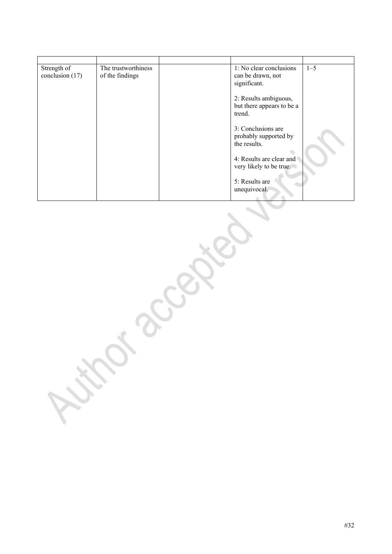| Strength of<br>conclusion (17) | The trustworthiness<br>of the findings | 1: No clear conclusions<br>can be drawn, not<br>significant. | $1 - 5$ |
|--------------------------------|----------------------------------------|--------------------------------------------------------------|---------|
|                                |                                        | 2: Results ambiguous,<br>but there appears to be a<br>trend. |         |
|                                |                                        | 3: Conclusions are<br>probably supported by<br>the results.  |         |
|                                |                                        | 4: Results are clear and<br>very likely to be true.          |         |
|                                |                                        | 5: Results are<br>unequivocal.                               |         |

#32